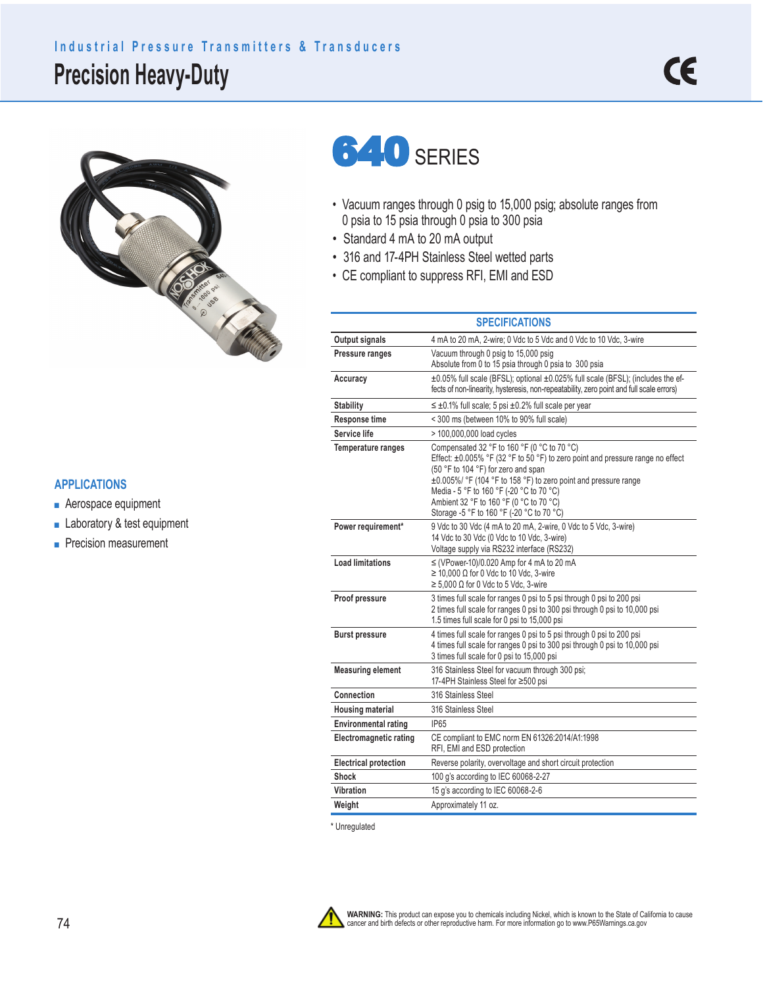## **Precision Heavy-Duty Industrial Pressure Transmitters & Transducers**



**640 SERIES** 

- Vacuum ranges through 0 psig to 15,000 psig; absolute ranges from 0 psia to 15 psia through 0 psia to 300 psia
- Standard 4 mA to 20 mA output
- 316 and 17-4PH Stainless Steel wetted parts
- CE compliant to suppress RFI, EMI and ESD

|                               | <b>SPECIFICATIONS</b>                                                                                                                                                                                                                                                                                                                                                             |
|-------------------------------|-----------------------------------------------------------------------------------------------------------------------------------------------------------------------------------------------------------------------------------------------------------------------------------------------------------------------------------------------------------------------------------|
| Output signals                | 4 mA to 20 mA, 2-wire; 0 Vdc to 5 Vdc and 0 Vdc to 10 Vdc, 3-wire                                                                                                                                                                                                                                                                                                                 |
| Pressure ranges               | Vacuum through 0 psig to 15,000 psig<br>Absolute from 0 to 15 psia through 0 psia to 300 psia                                                                                                                                                                                                                                                                                     |
| Accuracy                      | ±0.05% full scale (BFSL); optional ±0.025% full scale (BFSL); (includes the ef-<br>fects of non-linearity, hysteresis, non-repeatability, zero point and full scale errors)                                                                                                                                                                                                       |
| <b>Stability</b>              | $\leq \pm 0.1\%$ full scale; 5 psi $\pm 0.2\%$ full scale per year                                                                                                                                                                                                                                                                                                                |
| <b>Response time</b>          | < 300 ms (between 10% to 90% full scale)                                                                                                                                                                                                                                                                                                                                          |
| Service life                  | > 100,000,000 load cycles                                                                                                                                                                                                                                                                                                                                                         |
| <b>Temperature ranges</b>     | Compensated 32 °F to 160 °F (0 °C to 70 °C)<br>Effect: $\pm 0.005\%$ °F (32 °F to 50 °F) to zero point and pressure range no effect<br>(50 °F to 104 °F) for zero and span<br>±0.005%/ °F (104 °F to 158 °F) to zero point and pressure range<br>Media - 5 °F to 160 °F (-20 °C to 70 °C)<br>Ambient 32 °F to 160 °F (0 °C to 70 °C)<br>Storage -5 °F to 160 °F (-20 °C to 70 °C) |
| Power requirement*            | 9 Vdc to 30 Vdc (4 mA to 20 mA, 2-wire, 0 Vdc to 5 Vdc, 3-wire)<br>14 Vdc to 30 Vdc (0 Vdc to 10 Vdc, 3-wire)<br>Voltage supply via RS232 interface (RS232)                                                                                                                                                                                                                       |
| <b>Load limitations</b>       | $\leq$ (VPower-10)/0.020 Amp for 4 mA to 20 mA<br>$\geq$ 10,000 $\Omega$ for 0 Vdc to 10 Vdc, 3-wire<br>$\geq 5,000 \Omega$ for 0 Vdc to 5 Vdc, 3-wire                                                                                                                                                                                                                            |
| Proof pressure                | 3 times full scale for ranges 0 psi to 5 psi through 0 psi to 200 psi<br>2 times full scale for ranges 0 psi to 300 psi through 0 psi to 10,000 psi<br>1.5 times full scale for 0 psi to 15,000 psi                                                                                                                                                                               |
| <b>Burst pressure</b>         | 4 times full scale for ranges 0 psi to 5 psi through 0 psi to 200 psi<br>4 times full scale for ranges 0 psi to 300 psi through 0 psi to 10,000 psi<br>3 times full scale for 0 psi to 15,000 psi                                                                                                                                                                                 |
| <b>Measuring element</b>      | 316 Stainless Steel for vacuum through 300 psi;<br>17-4PH Stainless Steel for ≥500 psi                                                                                                                                                                                                                                                                                            |
| Connection                    | 316 Stainless Steel                                                                                                                                                                                                                                                                                                                                                               |
| <b>Housing material</b>       | 316 Stainless Steel                                                                                                                                                                                                                                                                                                                                                               |
| <b>Environmental rating</b>   | <b>IP65</b>                                                                                                                                                                                                                                                                                                                                                                       |
| <b>Electromagnetic rating</b> | CE compliant to EMC norm EN 61326:2014/A1:1998<br>RFI, EMI and ESD protection                                                                                                                                                                                                                                                                                                     |
| <b>Electrical protection</b>  | Reverse polarity, overvoltage and short circuit protection                                                                                                                                                                                                                                                                                                                        |
| Shock                         | 100 q's according to IEC 60068-2-27                                                                                                                                                                                                                                                                                                                                               |
| Vibration                     | 15 g's according to IEC 60068-2-6                                                                                                                                                                                                                                                                                                                                                 |
| Weight                        | Approximately 11 oz.                                                                                                                                                                                                                                                                                                                                                              |

\* Unregulated



**WARNING:** This product can expose you to chemicals including Nickel, which is known to the State of California to cause<br>cancer and birth defects or other reproductive harm. For more information go to www.P65Warnings.ca.go

## **APPLICATIONS**

- Aerospace equipment
- Laboratory & test equipment
- Precision measurement